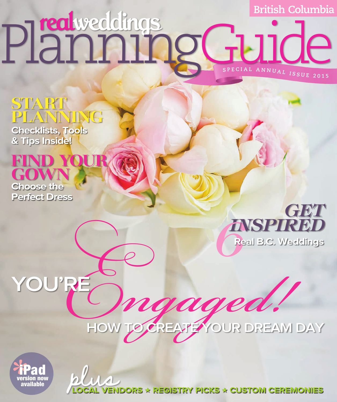# **British Columbia <sup>S</sup> <sup>P</sup> <sup>E</sup> <sup>C</sup> <sup>I</sup> <sup>A</sup> <sup>L</sup> <sup>A</sup> <sup>N</sup> <sup>N</sup> <sup>U</sup> <sup>A</sup> <sup>L</sup> <sup>I</sup> <sup>S</sup> <sup>S</sup> <sup>U</sup> <sup>E</sup> <sup>2</sup> <sup>0</sup> <sup>1</sup> <sup>5</sup>** Planning Guide

# **START PLANNING**

 $RE$ 

**Checklists, Tools & Tips Inside!** 









plua **LOCAL VENDORS ★ REGISTRY PICKS ★ CUSTOM CEREMONIES**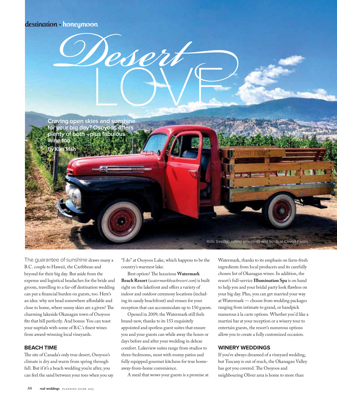## destination + honeymoon

**Craving open skies and sunshine for your big day? Osoyoos offers plenty of both –plus fabulous wine too By** Kim Mah

Desert

The guarantee of sunshine draws many a B.C. couple to Hawaii, the Caribbean and beyond for their big day. But aside from the expense and logistical headaches for the bride and groom, travelling to a far-off destination wedding can put a financial burden on guests, too. Here's an idea: why not head somewhere affordable and close to home, where sunny skies are a given? The charming lakeside Okanagan town of Osoyoos fits that bill perfectly. And bonus: You can toast your nuptials with some of B.C.'s finest wines from award-winning local vineyards.

#### **BEACH TIME**

The site of Canada's only true desert, Osoyoos's climate is dry and warm from spring through fall. But if it's a beach wedding you're after, you can feel the sand between your toes when you say "I do" at Osoyoos Lake, which happens to be the country's warmest lake.

Best option? The luxurious **Watermark Beach Resort** (*watermarkbeachresort.com*) is built right on the lakefront and offers a variety of indoor and outdoor ceremony locations (including its sandy beachfront) and venues for your reception that can accommodate up to 150 guests.

Opened in 2009, the Watermark still feels brand-new, thanks to its 153 exquisitely appointed and spotless guest suites that ensure you and your guests can while away the hours or days before and after your wedding in deluxe comfort. Lakeview suites range from studios to three-bedrooms, most with roomy patios and fully equipped gourmet kitchens for true homeaway-from-home convenience.

A meal that wows your guests is a promise at

Watermark, thanks to its emphasis on farm-fresh ingredients from local producers and its carefully chosen list of Okanagan wines. In addition, the resort's full-service **Illumination Spa** is on hand to help you and your bridal party look flawless on your big day. Plus, you can get married your way at Watermark — choose from wedding packages ranging from intimate to grand, or handpick numerous à la carte options. Whether you'd like a martini bar at your reception or a winery tour to entertain guests, the resort's numerous options allow you to create a fully customized occasion.

Ride through rolling vineyards and fields at Covert Farms.

#### **WINERY WEDDINGS**

If you've always dreamed of a vineyard wedding, but Tuscany is out of reach, the Okanagan Valley has got you covered. The Osoyoos and neighbouring Oliver area is home to more than